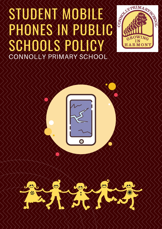# STUDENT MOBILE SIUDENT MOBILE SCHOOLS POLICY CONNOLLY PRIMARY SCHOOL





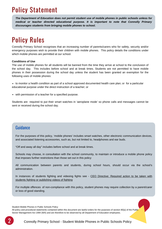## Policy Statement

*The Department of Education does not permit student use of mobile phones in public schools unless for medical or teacher directed educational purpose. It is important to note that Connolly Primary discourages students from bringing mobile phones to school.*

# Policy Rules

Connolly Primary School recognises that an increasing number of parents/carers who for safety, security and/or emergency purposes wish to provide their children with mobile phones. This policy details the conditions under which mobile phones are permitted at our school.

#### **Conditions of Use**

The use of mobile phones for all students will be banned from the time they arrive at school to the conclusion of the school day. This includes before school and at break times. Students are not permitted to have mobile phones in their possession during the school day unless the student has been granted an exemption for the following uses of mobile phones:

to monitor a health condition as part of a school approved documented health care plan; or for a particular educational purpose under the direct instruction of a teacher; or

• with permission of a teacher for a specified purpose.

Students are required to put their smart watches in 'aeroplane mode' so phone calls and messages cannot be sent or received during the school day.

#### Guidance

For the purposes of this policy, 'mobile phones' includes smart watches, other electronic communication devices, and associated listening accessories, such as, but not limited to, headphones and ear buds.

"Off and away all day" includes before school and at break times.

Schools may choose, in consultation with the school community, to maintain or introduce a mobile phone policy that imposes further restrictions than those set out in this policy

All communication between parents and students, during school hours, should occur via the school's administration.

In instances of students fighting and videoing fights see - CEO Directive: Required action to be taken with students fighting or publishing videos of fighting

For multiple offences of non-compliance with this policy, student phones may require collection by a parent/carer or loss of good standing.

Student Mobile Phones in Public Schools Policy

All policy and procedural statements contained within this document are lawful orders for the purposes of section 80(a) of the Public Sector Management Act 1994 (WA) and are therefore to be observed by all Department of Education employees.